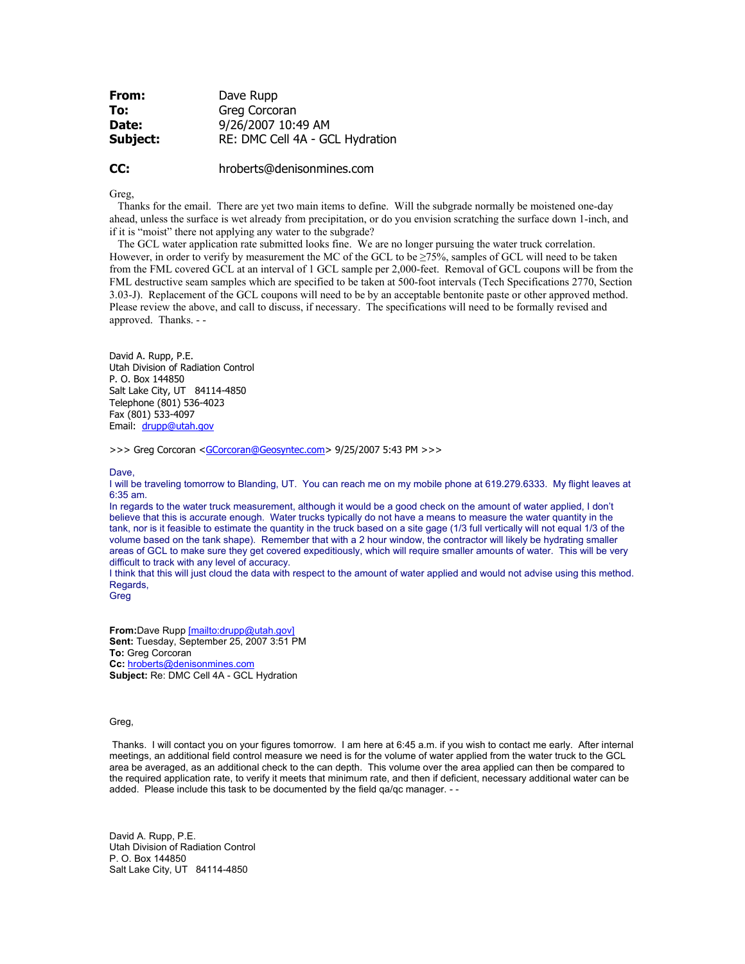| From:    | Dave Rupp                       |
|----------|---------------------------------|
| To:      | Greg Corcoran                   |
| Date:    | 9/26/2007 10:49 AM              |
| Subject: | RE: DMC Cell 4A - GCL Hydration |

## **CC:** hroberts@denisonmines.com

Greg

 Thanks for the email. There are yet two main items to define. Will the subgrade normally be moistened one-day ahead, unless the surface is wet already from precipitation, or do you envision scratching the surface down 1-inch, and if it is "moist" there not applying any water to the subgrade?

 The GCL water application rate submitted looks fine. We are no longer pursuing the water truck correlation. However, in order to verify by measurement the MC of the GCL to be ≥75%, samples of GCL will need to be taken from the FML covered GCL at an interval of 1 GCL sample per 2,000-feet. Removal of GCL coupons will be from the FML destructive seam samples which are specified to be taken at 500-foot intervals (Tech Specifications 2770, Section 3.03-J). Replacement of the GCL coupons will need to be by an acceptable bentonite paste or other approved method. Please review the above, and call to discuss, if necessary. The specifications will need to be formally revised and approved. Thanks. - -

David A. Rupp, P.E. Utah Division of Radiation Control P. O. Box 144850 Salt Lake City, UT 84114-4850 Telephone (801) 536-4023 Fax (801) 533-4097 Email: drupp@utah.gov

>>> Greg Corcoran <GCorcoran@Geosyntec.com> 9/25/2007 5:43 PM >>>

Dave.

I will be traveling tomorrow to Blanding, UT. You can reach me on my mobile phone at 619.279.6333. My flight leaves at 6:35 am.

In regards to the water truck measurement, although it would be a good check on the amount of water applied, I don't believe that this is accurate enough. Water trucks typically do not have a means to measure the water quantity in the tank, nor is it feasible to estimate the quantity in the truck based on a site gage (1/3 full vertically will not equal 1/3 of the volume based on the tank shape). Remember that with a 2 hour window, the contractor will likely be hydrating smaller areas of GCL to make sure they get covered expeditiously, which will require smaller amounts of water. This will be very difficult to track with any level of accuracy.

I think that this will just cloud the data with respect to the amount of water applied and would not advise using this method. Regards,

**Greg** 

**From:**Dave Rupp [mailto:drupp@utah.gov] **Sent:** Tuesday, September 25, 2007 3:51 PM **To:** Greg Corcoran **Cc:** hroberts@denisonmines.com **Subject:** Re: DMC Cell 4A - GCL Hydration

## Greg,

 Thanks. I will contact you on your figures tomorrow. I am here at 6:45 a.m. if you wish to contact me early. After internal meetings, an additional field control measure we need is for the volume of water applied from the water truck to the GCL area be averaged, as an additional check to the can depth. This volume over the area applied can then be compared to the required application rate, to verify it meets that minimum rate, and then if deficient, necessary additional water can be added. Please include this task to be documented by the field qa/qc manager. - -

David A. Rupp, P.E. Utah Division of Radiation Control P. O. Box 144850 Salt Lake City, UT 84114-4850